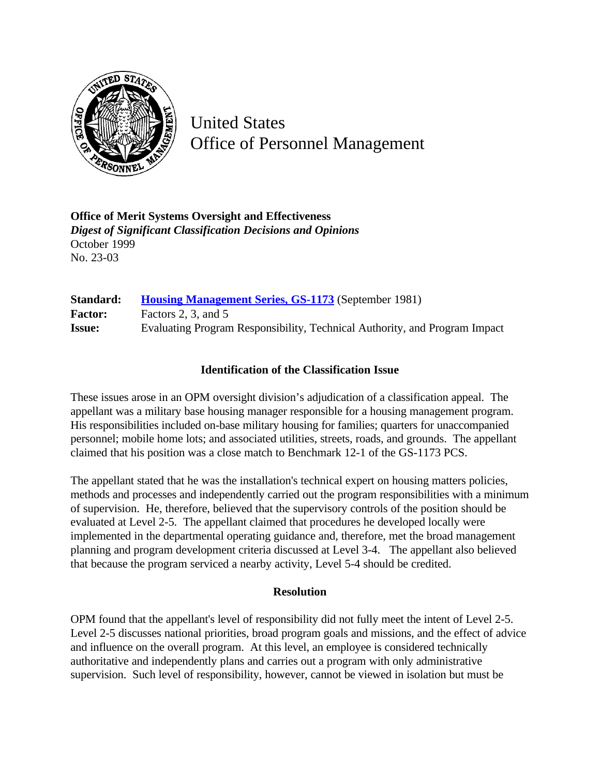

United States Office of Personnel Management

**Office of Merit Systems Oversight and Effectiveness** *Digest of Significant Classification Decisions and Opinions* October 1999 No. 23-03

**Standard: [Housing Management Series, GS-1173](http://www.opm.gov/hr/fedclass/gs1173.pdf)** (September 1981) Factor: Factors 2, 3, and 5 **Issue:** Evaluating Program Responsibility, Technical Authority, and Program Impact

## **Identification of the Classification Issue**

These issues arose in an OPM oversight division's adjudication of a classification appeal. The appellant was a military base housing manager responsible for a housing management program. His responsibilities included on-base military housing for families; quarters for unaccompanied personnel; mobile home lots; and associated utilities, streets, roads, and grounds. The appellant claimed that his position was a close match to Benchmark 12-1 of the GS-1173 PCS.

The appellant stated that he was the installation's technical expert on housing matters policies, methods and processes and independently carried out the program responsibilities with a minimum of supervision. He, therefore, believed that the supervisory controls of the position should be evaluated at Level 2-5. The appellant claimed that procedures he developed locally were implemented in the departmental operating guidance and, therefore, met the broad management planning and program development criteria discussed at Level 3-4. The appellant also believed that because the program serviced a nearby activity, Level 5-4 should be credited.

## **Resolution**

OPM found that the appellant's level of responsibility did not fully meet the intent of Level 2-5. Level 2-5 discusses national priorities, broad program goals and missions, and the effect of advice and influence on the overall program. At this level, an employee is considered technically authoritative and independently plans and carries out a program with only administrative supervision. Such level of responsibility, however, cannot be viewed in isolation but must be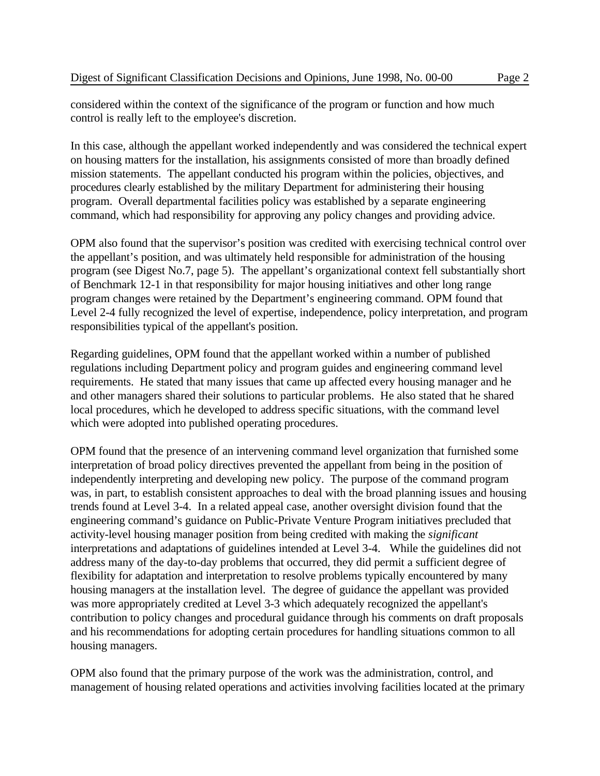considered within the context of the significance of the program or function and how much control is really left to the employee's discretion.

In this case, although the appellant worked independently and was considered the technical expert on housing matters for the installation, his assignments consisted of more than broadly defined mission statements. The appellant conducted his program within the policies, objectives, and procedures clearly established by the military Department for administering their housing program. Overall departmental facilities policy was established by a separate engineering command, which had responsibility for approving any policy changes and providing advice.

OPM also found that the supervisor's position was credited with exercising technical control over the appellant's position, and was ultimately held responsible for administration of the housing program (see Digest No.7, page 5). The appellant's organizational context fell substantially short of Benchmark 12-1 in that responsibility for major housing initiatives and other long range program changes were retained by the Department's engineering command. OPM found that Level 2-4 fully recognized the level of expertise, independence, policy interpretation, and program responsibilities typical of the appellant's position.

Regarding guidelines, OPM found that the appellant worked within a number of published regulations including Department policy and program guides and engineering command level requirements. He stated that many issues that came up affected every housing manager and he and other managers shared their solutions to particular problems. He also stated that he shared local procedures, which he developed to address specific situations, with the command level which were adopted into published operating procedures.

OPM found that the presence of an intervening command level organization that furnished some interpretation of broad policy directives prevented the appellant from being in the position of independently interpreting and developing new policy. The purpose of the command program was, in part, to establish consistent approaches to deal with the broad planning issues and housing trends found at Level 3-4. In a related appeal case, another oversight division found that the engineering command's guidance on Public-Private Venture Program initiatives precluded that activity-level housing manager position from being credited with making the *significant* interpretations and adaptations of guidelines intended at Level 3-4. While the guidelines did not address many of the day-to-day problems that occurred, they did permit a sufficient degree of flexibility for adaptation and interpretation to resolve problems typically encountered by many housing managers at the installation level. The degree of guidance the appellant was provided was more appropriately credited at Level 3-3 which adequately recognized the appellant's contribution to policy changes and procedural guidance through his comments on draft proposals and his recommendations for adopting certain procedures for handling situations common to all housing managers.

OPM also found that the primary purpose of the work was the administration, control, and management of housing related operations and activities involving facilities located at the primary